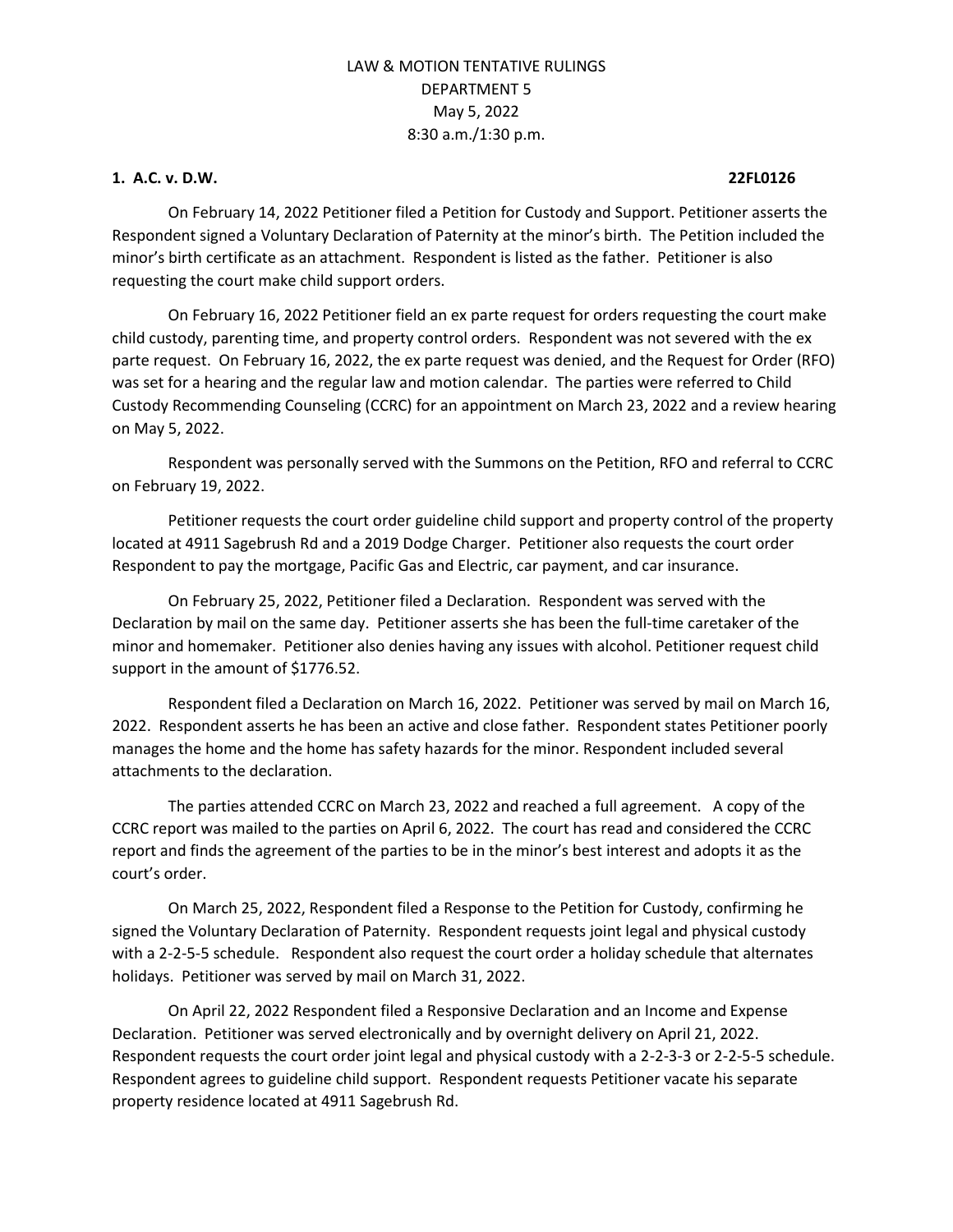#### **1. A.C. v. D.W. 22FL0126**

On February 14, 2022 Petitioner filed a Petition for Custody and Support. Petitioner asserts the Respondent signed a Voluntary Declaration of Paternity at the minor's birth. The Petition included the minor's birth certificate as an attachment. Respondent is listed as the father. Petitioner is also requesting the court make child support orders.

On February 16, 2022 Petitioner field an ex parte request for orders requesting the court make child custody, parenting time, and property control orders. Respondent was not severed with the ex parte request. On February 16, 2022, the ex parte request was denied, and the Request for Order (RFO) was set for a hearing and the regular law and motion calendar. The parties were referred to Child Custody Recommending Counseling (CCRC) for an appointment on March 23, 2022 and a review hearing on May 5, 2022.

Respondent was personally served with the Summons on the Petition, RFO and referral to CCRC on February 19, 2022.

Petitioner requests the court order guideline child support and property control of the property located at 4911 Sagebrush Rd and a 2019 Dodge Charger. Petitioner also requests the court order Respondent to pay the mortgage, Pacific Gas and Electric, car payment, and car insurance.

On February 25, 2022, Petitioner filed a Declaration. Respondent was served with the Declaration by mail on the same day. Petitioner asserts she has been the full-time caretaker of the minor and homemaker. Petitioner also denies having any issues with alcohol. Petitioner request child support in the amount of \$1776.52.

Respondent filed a Declaration on March 16, 2022. Petitioner was served by mail on March 16, 2022. Respondent asserts he has been an active and close father. Respondent states Petitioner poorly manages the home and the home has safety hazards for the minor. Respondent included several attachments to the declaration.

The parties attended CCRC on March 23, 2022 and reached a full agreement. A copy of the CCRC report was mailed to the parties on April 6, 2022. The court has read and considered the CCRC report and finds the agreement of the parties to be in the minor's best interest and adopts it as the court's order.

On March 25, 2022, Respondent filed a Response to the Petition for Custody, confirming he signed the Voluntary Declaration of Paternity. Respondent requests joint legal and physical custody with a 2-2-5-5 schedule. Respondent also request the court order a holiday schedule that alternates holidays. Petitioner was served by mail on March 31, 2022.

On April 22, 2022 Respondent filed a Responsive Declaration and an Income and Expense Declaration. Petitioner was served electronically and by overnight delivery on April 21, 2022. Respondent requests the court order joint legal and physical custody with a 2-2-3-3 or 2-2-5-5 schedule. Respondent agrees to guideline child support. Respondent requests Petitioner vacate his separate property residence located at 4911 Sagebrush Rd.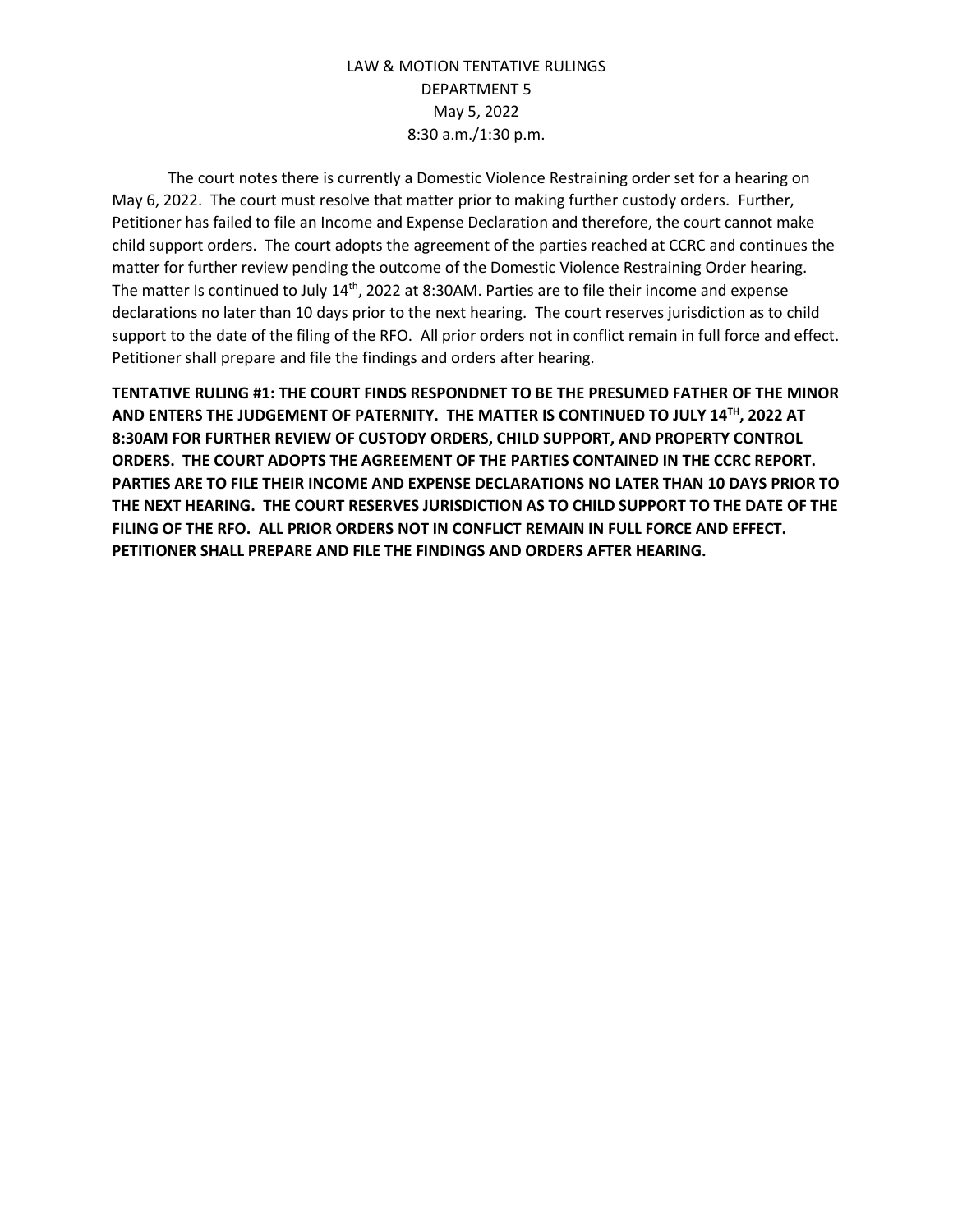The court notes there is currently a Domestic Violence Restraining order set for a hearing on May 6, 2022. The court must resolve that matter prior to making further custody orders. Further, Petitioner has failed to file an Income and Expense Declaration and therefore, the court cannot make child support orders. The court adopts the agreement of the parties reached at CCRC and continues the matter for further review pending the outcome of the Domestic Violence Restraining Order hearing. The matter Is continued to July 14<sup>th</sup>, 2022 at 8:30AM. Parties are to file their income and expense declarations no later than 10 days prior to the next hearing. The court reserves jurisdiction as to child support to the date of the filing of the RFO. All prior orders not in conflict remain in full force and effect. Petitioner shall prepare and file the findings and orders after hearing.

**TENTATIVE RULING #1: THE COURT FINDS RESPONDNET TO BE THE PRESUMED FATHER OF THE MINOR AND ENTERS THE JUDGEMENT OF PATERNITY. THE MATTER IS CONTINUED TO JULY 14TH, 2022 AT 8:30AM FOR FURTHER REVIEW OF CUSTODY ORDERS, CHILD SUPPORT, AND PROPERTY CONTROL ORDERS. THE COURT ADOPTS THE AGREEMENT OF THE PARTIES CONTAINED IN THE CCRC REPORT. PARTIES ARE TO FILE THEIR INCOME AND EXPENSE DECLARATIONS NO LATER THAN 10 DAYS PRIOR TO THE NEXT HEARING. THE COURT RESERVES JURISDICTION AS TO CHILD SUPPORT TO THE DATE OF THE FILING OF THE RFO. ALL PRIOR ORDERS NOT IN CONFLICT REMAIN IN FULL FORCE AND EFFECT. PETITIONER SHALL PREPARE AND FILE THE FINDINGS AND ORDERS AFTER HEARING.**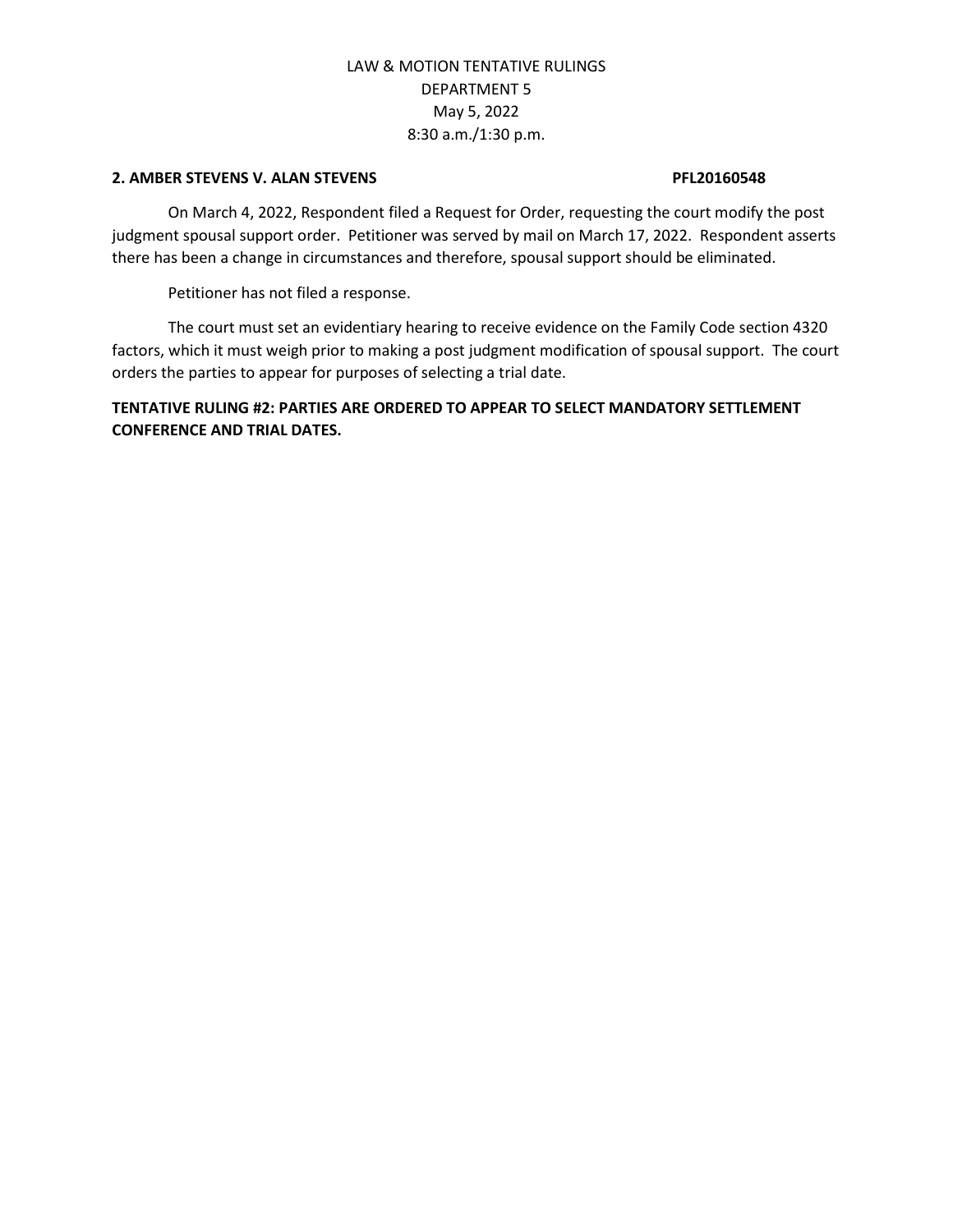#### **2. AMBER STEVENS V. ALAN STEVENS PFL20160548**

On March 4, 2022, Respondent filed a Request for Order, requesting the court modify the post judgment spousal support order. Petitioner was served by mail on March 17, 2022. Respondent asserts there has been a change in circumstances and therefore, spousal support should be eliminated.

Petitioner has not filed a response.

The court must set an evidentiary hearing to receive evidence on the Family Code section 4320 factors, which it must weigh prior to making a post judgment modification of spousal support. The court orders the parties to appear for purposes of selecting a trial date.

**TENTATIVE RULING #2: PARTIES ARE ORDERED TO APPEAR TO SELECT MANDATORY SETTLEMENT CONFERENCE AND TRIAL DATES.**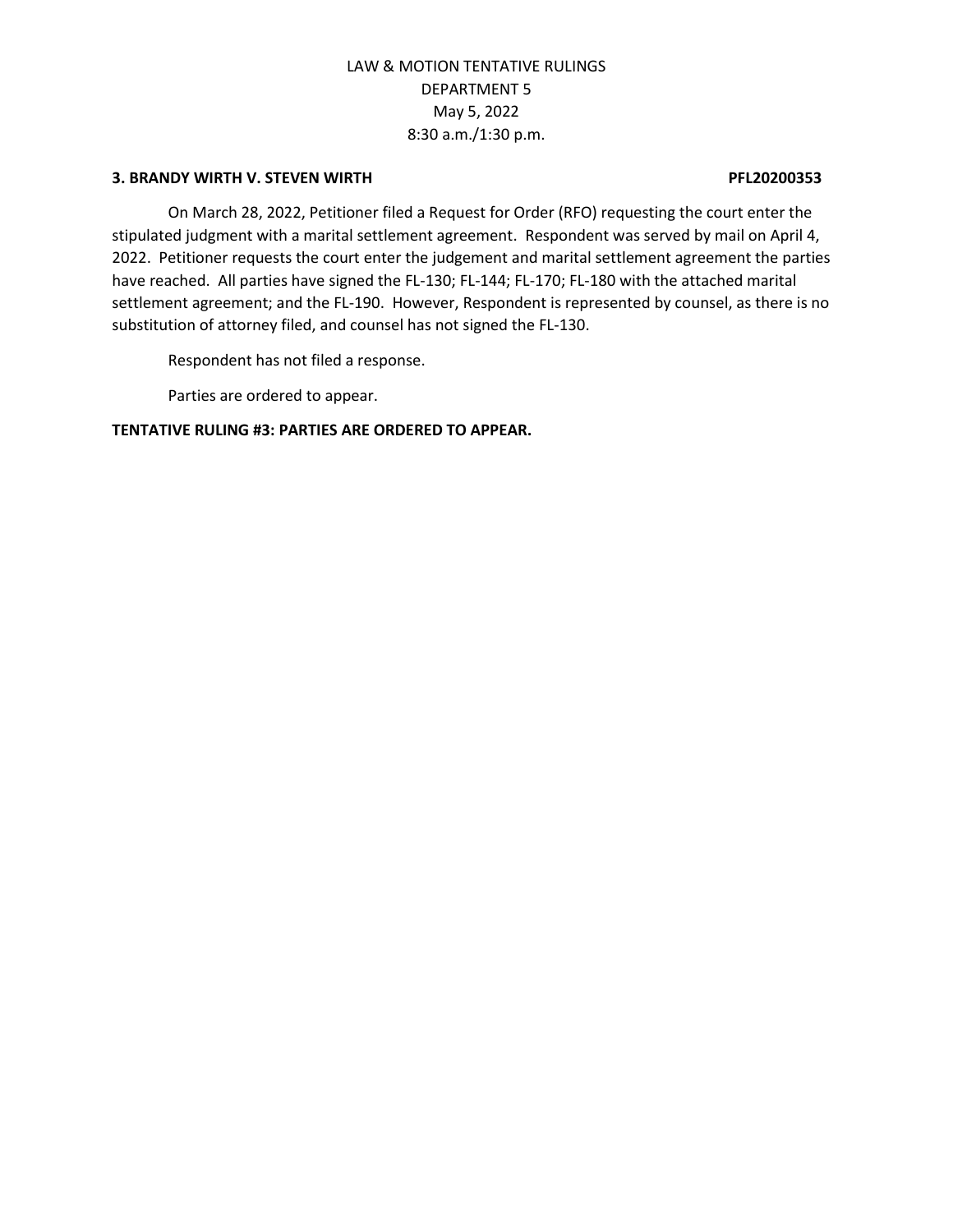### **3. BRANDY WIRTH V. STEVEN WIRTH PFL20200353**

On March 28, 2022, Petitioner filed a Request for Order (RFO) requesting the court enter the stipulated judgment with a marital settlement agreement. Respondent was served by mail on April 4, 2022. Petitioner requests the court enter the judgement and marital settlement agreement the parties have reached. All parties have signed the FL-130; FL-144; FL-170; FL-180 with the attached marital settlement agreement; and the FL-190. However, Respondent is represented by counsel, as there is no substitution of attorney filed, and counsel has not signed the FL-130.

Respondent has not filed a response.

Parties are ordered to appear.

### **TENTATIVE RULING #3: PARTIES ARE ORDERED TO APPEAR.**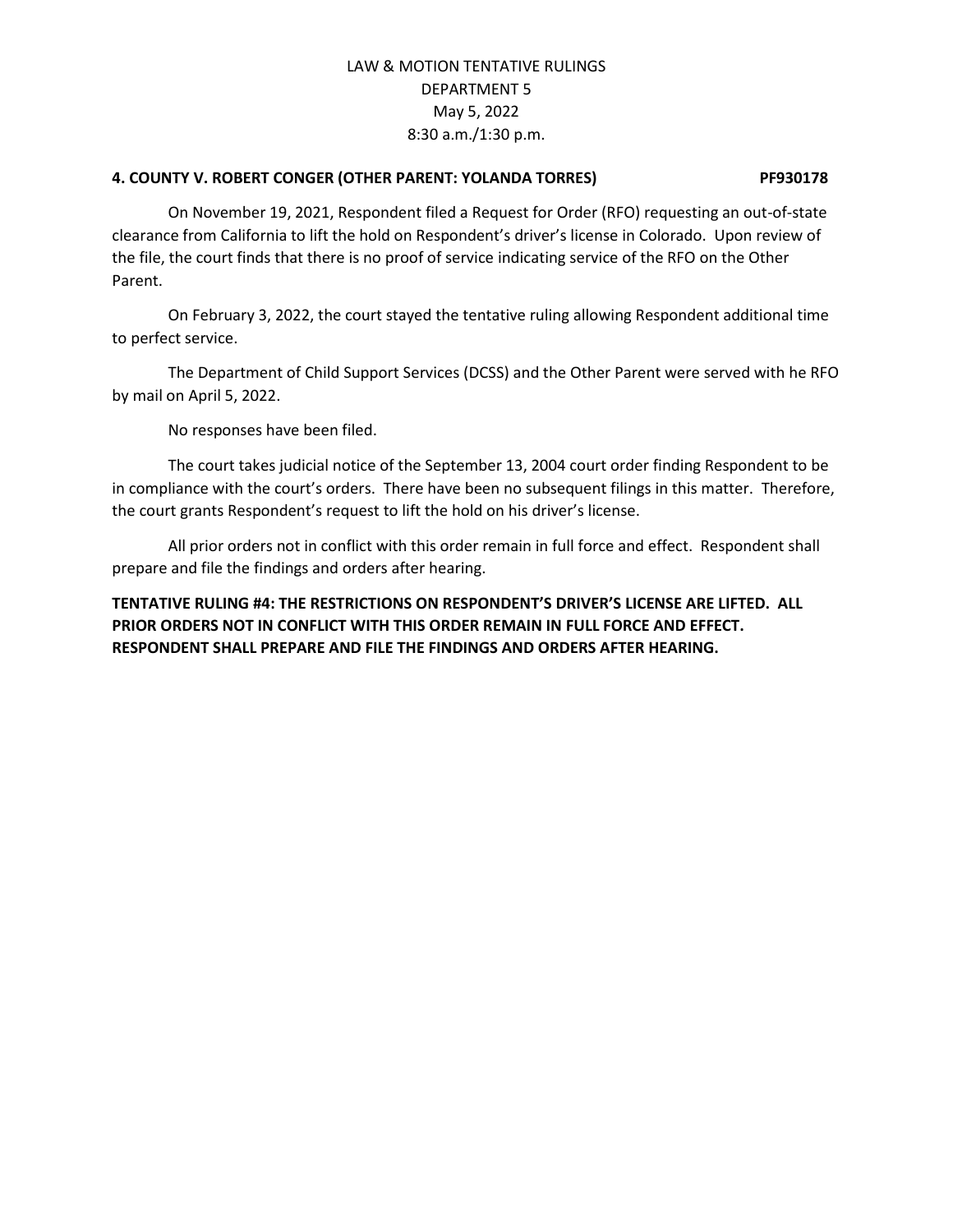### **4. COUNTY V. ROBERT CONGER (OTHER PARENT: YOLANDA TORRES) PF930178**

On November 19, 2021, Respondent filed a Request for Order (RFO) requesting an out-of-state clearance from California to lift the hold on Respondent's driver's license in Colorado. Upon review of the file, the court finds that there is no proof of service indicating service of the RFO on the Other Parent.

On February 3, 2022, the court stayed the tentative ruling allowing Respondent additional time to perfect service.

The Department of Child Support Services (DCSS) and the Other Parent were served with he RFO by mail on April 5, 2022.

No responses have been filed.

The court takes judicial notice of the September 13, 2004 court order finding Respondent to be in compliance with the court's orders. There have been no subsequent filings in this matter. Therefore, the court grants Respondent's request to lift the hold on his driver's license.

All prior orders not in conflict with this order remain in full force and effect. Respondent shall prepare and file the findings and orders after hearing.

## **TENTATIVE RULING #4: THE RESTRICTIONS ON RESPONDENT'S DRIVER'S LICENSE ARE LIFTED. ALL PRIOR ORDERS NOT IN CONFLICT WITH THIS ORDER REMAIN IN FULL FORCE AND EFFECT. RESPONDENT SHALL PREPARE AND FILE THE FINDINGS AND ORDERS AFTER HEARING.**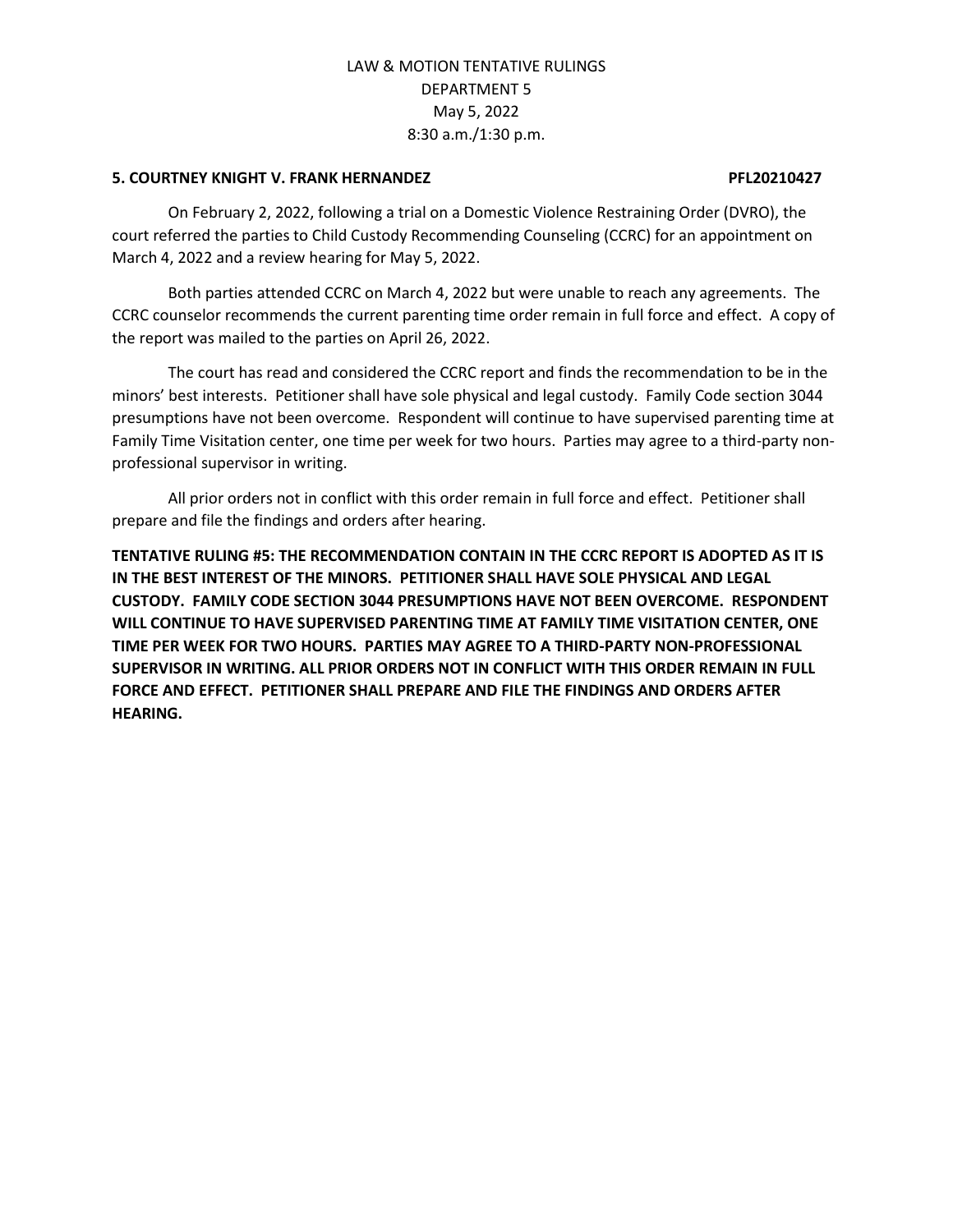#### **5. COURTNEY KNIGHT V. FRANK HERNANDEZ PFL20210427**

On February 2, 2022, following a trial on a Domestic Violence Restraining Order (DVRO), the court referred the parties to Child Custody Recommending Counseling (CCRC) for an appointment on March 4, 2022 and a review hearing for May 5, 2022.

Both parties attended CCRC on March 4, 2022 but were unable to reach any agreements. The CCRC counselor recommends the current parenting time order remain in full force and effect. A copy of the report was mailed to the parties on April 26, 2022.

The court has read and considered the CCRC report and finds the recommendation to be in the minors' best interests. Petitioner shall have sole physical and legal custody. Family Code section 3044 presumptions have not been overcome. Respondent will continue to have supervised parenting time at Family Time Visitation center, one time per week for two hours. Parties may agree to a third-party nonprofessional supervisor in writing.

All prior orders not in conflict with this order remain in full force and effect. Petitioner shall prepare and file the findings and orders after hearing.

**TENTATIVE RULING #5: THE RECOMMENDATION CONTAIN IN THE CCRC REPORT IS ADOPTED AS IT IS IN THE BEST INTEREST OF THE MINORS. PETITIONER SHALL HAVE SOLE PHYSICAL AND LEGAL CUSTODY. FAMILY CODE SECTION 3044 PRESUMPTIONS HAVE NOT BEEN OVERCOME. RESPONDENT WILL CONTINUE TO HAVE SUPERVISED PARENTING TIME AT FAMILY TIME VISITATION CENTER, ONE TIME PER WEEK FOR TWO HOURS. PARTIES MAY AGREE TO A THIRD-PARTY NON-PROFESSIONAL SUPERVISOR IN WRITING. ALL PRIOR ORDERS NOT IN CONFLICT WITH THIS ORDER REMAIN IN FULL FORCE AND EFFECT. PETITIONER SHALL PREPARE AND FILE THE FINDINGS AND ORDERS AFTER HEARING.**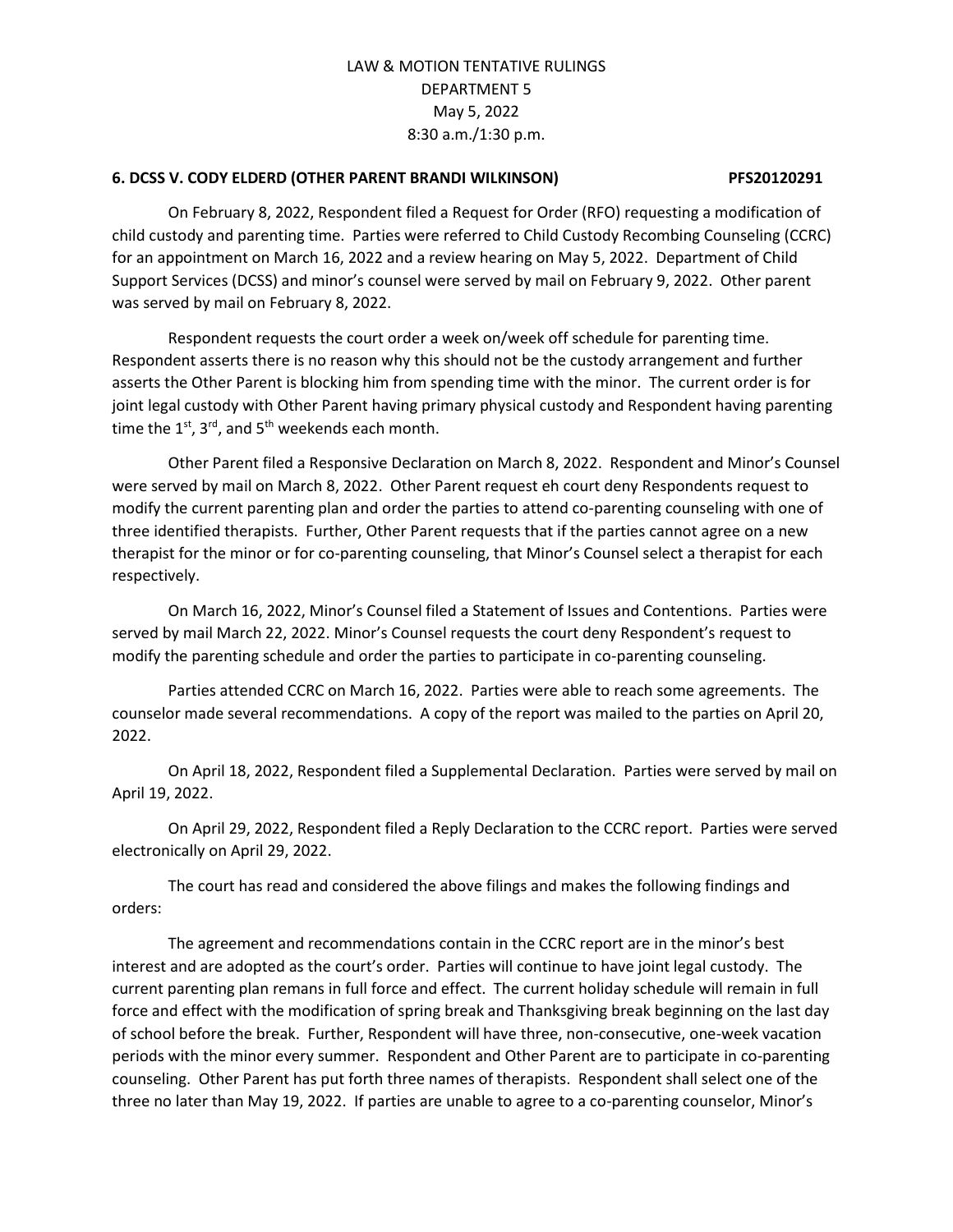#### **6. DCSS V. CODY ELDERD (OTHER PARENT BRANDI WILKINSON) PFS20120291**

On February 8, 2022, Respondent filed a Request for Order (RFO) requesting a modification of child custody and parenting time. Parties were referred to Child Custody Recombing Counseling (CCRC) for an appointment on March 16, 2022 and a review hearing on May 5, 2022. Department of Child Support Services (DCSS) and minor's counsel were served by mail on February 9, 2022. Other parent was served by mail on February 8, 2022.

Respondent requests the court order a week on/week off schedule for parenting time. Respondent asserts there is no reason why this should not be the custody arrangement and further asserts the Other Parent is blocking him from spending time with the minor. The current order is for joint legal custody with Other Parent having primary physical custody and Respondent having parenting time the  $1^{st}$ ,  $3^{rd}$ , and  $5^{th}$  weekends each month.

Other Parent filed a Responsive Declaration on March 8, 2022. Respondent and Minor's Counsel were served by mail on March 8, 2022. Other Parent request eh court deny Respondents request to modify the current parenting plan and order the parties to attend co-parenting counseling with one of three identified therapists. Further, Other Parent requests that if the parties cannot agree on a new therapist for the minor or for co-parenting counseling, that Minor's Counsel select a therapist for each respectively.

On March 16, 2022, Minor's Counsel filed a Statement of Issues and Contentions. Parties were served by mail March 22, 2022. Minor's Counsel requests the court deny Respondent's request to modify the parenting schedule and order the parties to participate in co-parenting counseling.

Parties attended CCRC on March 16, 2022. Parties were able to reach some agreements. The counselor made several recommendations. A copy of the report was mailed to the parties on April 20, 2022.

On April 18, 2022, Respondent filed a Supplemental Declaration. Parties were served by mail on April 19, 2022.

On April 29, 2022, Respondent filed a Reply Declaration to the CCRC report. Parties were served electronically on April 29, 2022.

The court has read and considered the above filings and makes the following findings and orders:

The agreement and recommendations contain in the CCRC report are in the minor's best interest and are adopted as the court's order. Parties will continue to have joint legal custody. The current parenting plan remans in full force and effect. The current holiday schedule will remain in full force and effect with the modification of spring break and Thanksgiving break beginning on the last day of school before the break. Further, Respondent will have three, non-consecutive, one-week vacation periods with the minor every summer. Respondent and Other Parent are to participate in co-parenting counseling. Other Parent has put forth three names of therapists. Respondent shall select one of the three no later than May 19, 2022. If parties are unable to agree to a co-parenting counselor, Minor's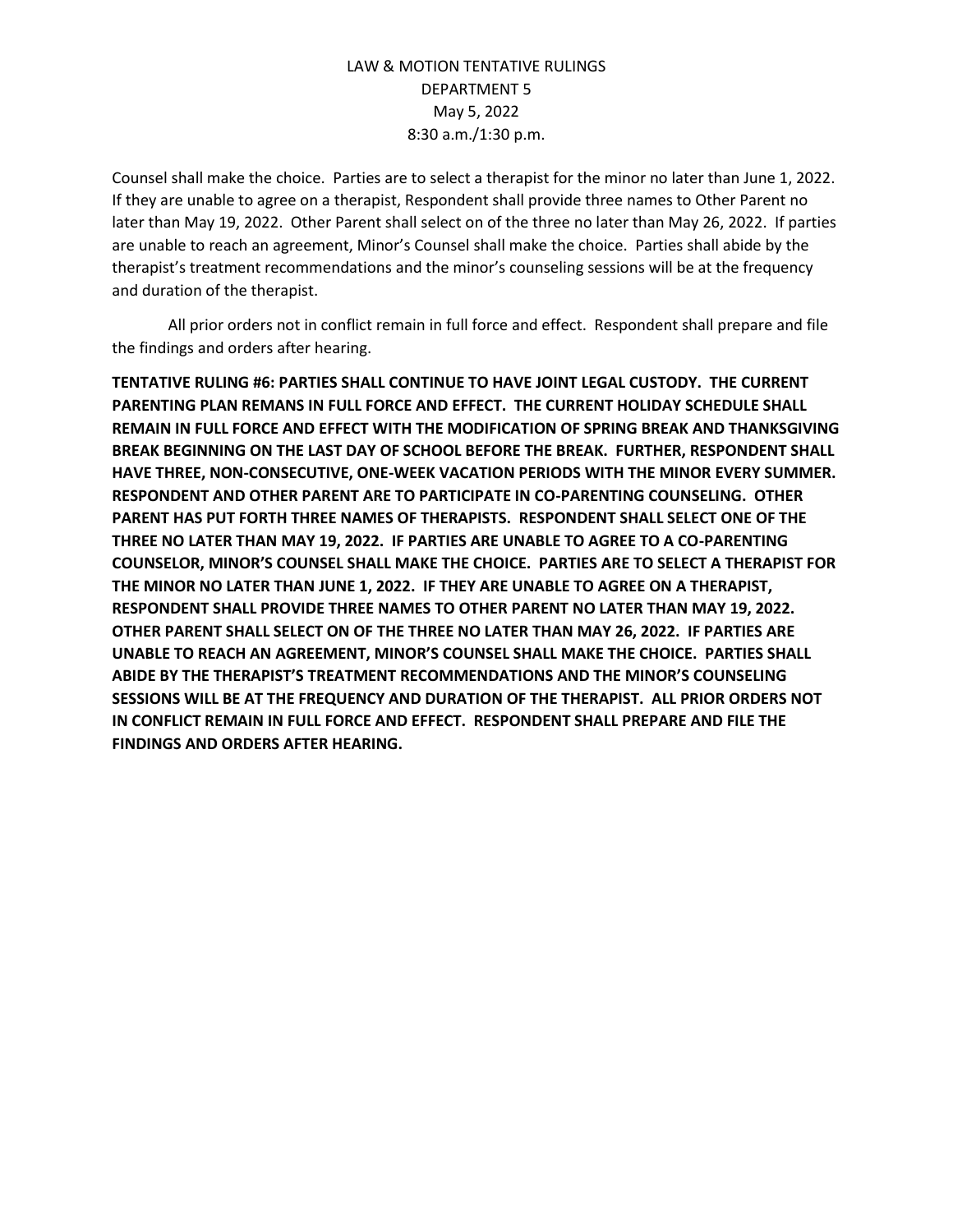Counsel shall make the choice. Parties are to select a therapist for the minor no later than June 1, 2022. If they are unable to agree on a therapist, Respondent shall provide three names to Other Parent no later than May 19, 2022. Other Parent shall select on of the three no later than May 26, 2022. If parties are unable to reach an agreement, Minor's Counsel shall make the choice. Parties shall abide by the therapist's treatment recommendations and the minor's counseling sessions will be at the frequency and duration of the therapist.

All prior orders not in conflict remain in full force and effect. Respondent shall prepare and file the findings and orders after hearing.

**TENTATIVE RULING #6: PARTIES SHALL CONTINUE TO HAVE JOINT LEGAL CUSTODY. THE CURRENT PARENTING PLAN REMANS IN FULL FORCE AND EFFECT. THE CURRENT HOLIDAY SCHEDULE SHALL REMAIN IN FULL FORCE AND EFFECT WITH THE MODIFICATION OF SPRING BREAK AND THANKSGIVING BREAK BEGINNING ON THE LAST DAY OF SCHOOL BEFORE THE BREAK. FURTHER, RESPONDENT SHALL HAVE THREE, NON-CONSECUTIVE, ONE-WEEK VACATION PERIODS WITH THE MINOR EVERY SUMMER. RESPONDENT AND OTHER PARENT ARE TO PARTICIPATE IN CO-PARENTING COUNSELING. OTHER PARENT HAS PUT FORTH THREE NAMES OF THERAPISTS. RESPONDENT SHALL SELECT ONE OF THE THREE NO LATER THAN MAY 19, 2022. IF PARTIES ARE UNABLE TO AGREE TO A CO-PARENTING COUNSELOR, MINOR'S COUNSEL SHALL MAKE THE CHOICE. PARTIES ARE TO SELECT A THERAPIST FOR THE MINOR NO LATER THAN JUNE 1, 2022. IF THEY ARE UNABLE TO AGREE ON A THERAPIST, RESPONDENT SHALL PROVIDE THREE NAMES TO OTHER PARENT NO LATER THAN MAY 19, 2022. OTHER PARENT SHALL SELECT ON OF THE THREE NO LATER THAN MAY 26, 2022. IF PARTIES ARE UNABLE TO REACH AN AGREEMENT, MINOR'S COUNSEL SHALL MAKE THE CHOICE. PARTIES SHALL ABIDE BY THE THERAPIST'S TREATMENT RECOMMENDATIONS AND THE MINOR'S COUNSELING SESSIONS WILL BE AT THE FREQUENCY AND DURATION OF THE THERAPIST. ALL PRIOR ORDERS NOT IN CONFLICT REMAIN IN FULL FORCE AND EFFECT. RESPONDENT SHALL PREPARE AND FILE THE FINDINGS AND ORDERS AFTER HEARING.**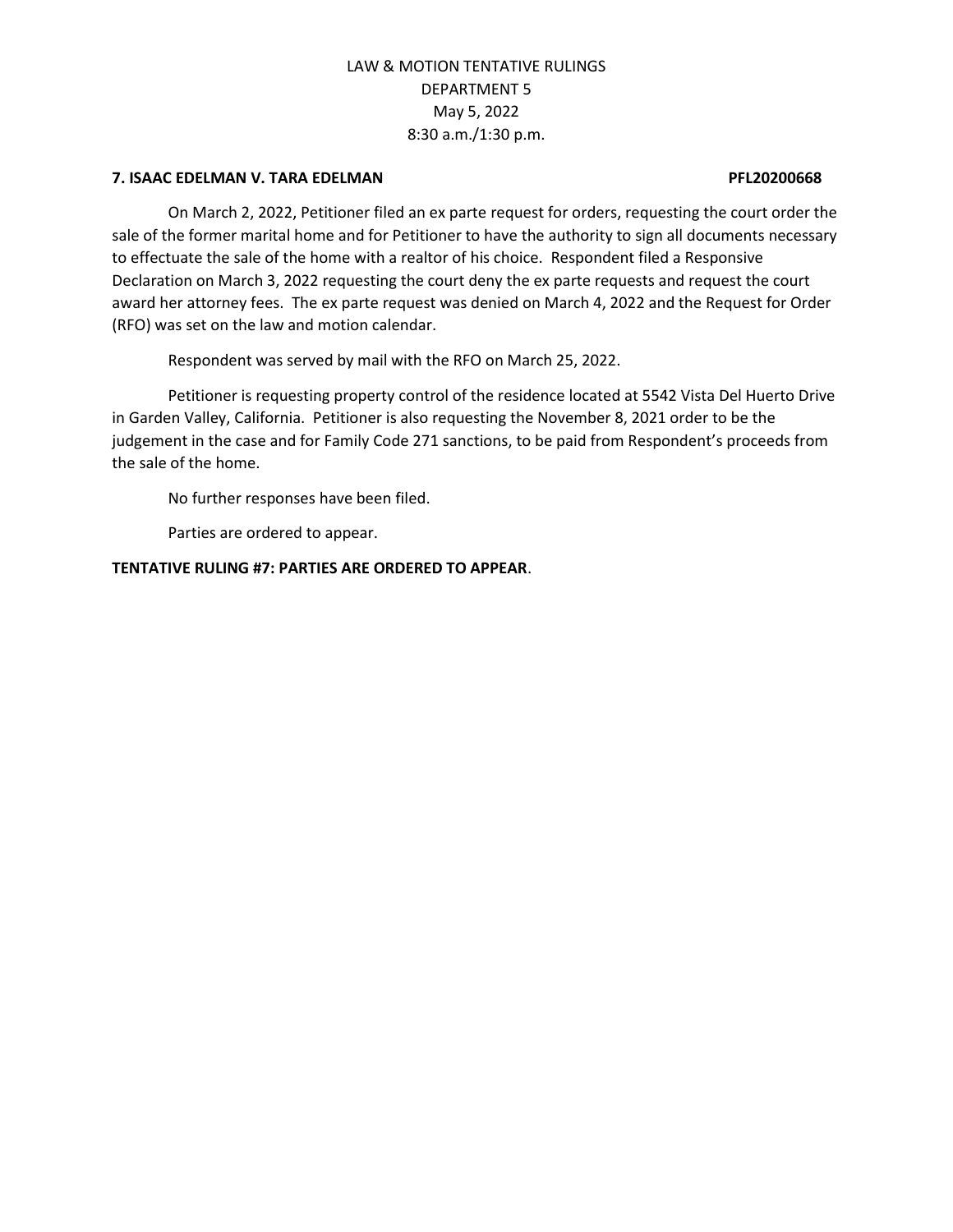#### **7. ISAAC EDELMAN V. TARA EDELMAN PFL20200668**

On March 2, 2022, Petitioner filed an ex parte request for orders, requesting the court order the sale of the former marital home and for Petitioner to have the authority to sign all documents necessary to effectuate the sale of the home with a realtor of his choice. Respondent filed a Responsive Declaration on March 3, 2022 requesting the court deny the ex parte requests and request the court award her attorney fees. The ex parte request was denied on March 4, 2022 and the Request for Order (RFO) was set on the law and motion calendar.

Respondent was served by mail with the RFO on March 25, 2022.

Petitioner is requesting property control of the residence located at 5542 Vista Del Huerto Drive in Garden Valley, California. Petitioner is also requesting the November 8, 2021 order to be the judgement in the case and for Family Code 271 sanctions, to be paid from Respondent's proceeds from the sale of the home.

No further responses have been filed.

Parties are ordered to appear.

**TENTATIVE RULING #7: PARTIES ARE ORDERED TO APPEAR**.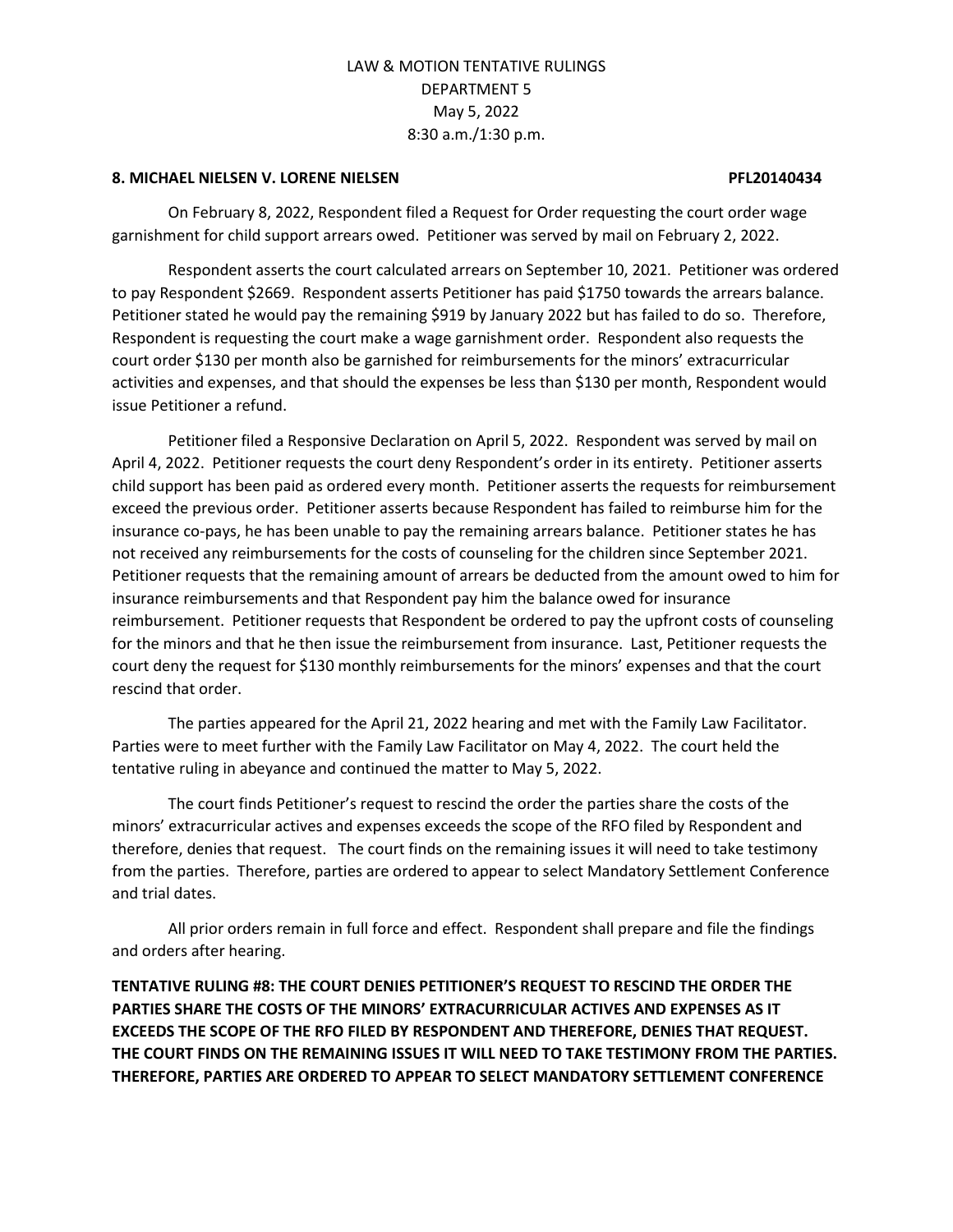#### **8. MICHAEL NIELSEN V. LORENE NIELSEN PFL20140434**

On February 8, 2022, Respondent filed a Request for Order requesting the court order wage garnishment for child support arrears owed. Petitioner was served by mail on February 2, 2022.

Respondent asserts the court calculated arrears on September 10, 2021. Petitioner was ordered to pay Respondent \$2669. Respondent asserts Petitioner has paid \$1750 towards the arrears balance. Petitioner stated he would pay the remaining \$919 by January 2022 but has failed to do so. Therefore, Respondent is requesting the court make a wage garnishment order. Respondent also requests the court order \$130 per month also be garnished for reimbursements for the minors' extracurricular activities and expenses, and that should the expenses be less than \$130 per month, Respondent would issue Petitioner a refund.

Petitioner filed a Responsive Declaration on April 5, 2022. Respondent was served by mail on April 4, 2022. Petitioner requests the court deny Respondent's order in its entirety. Petitioner asserts child support has been paid as ordered every month. Petitioner asserts the requests for reimbursement exceed the previous order. Petitioner asserts because Respondent has failed to reimburse him for the insurance co-pays, he has been unable to pay the remaining arrears balance. Petitioner states he has not received any reimbursements for the costs of counseling for the children since September 2021. Petitioner requests that the remaining amount of arrears be deducted from the amount owed to him for insurance reimbursements and that Respondent pay him the balance owed for insurance reimbursement. Petitioner requests that Respondent be ordered to pay the upfront costs of counseling for the minors and that he then issue the reimbursement from insurance. Last, Petitioner requests the court deny the request for \$130 monthly reimbursements for the minors' expenses and that the court rescind that order.

The parties appeared for the April 21, 2022 hearing and met with the Family Law Facilitator. Parties were to meet further with the Family Law Facilitator on May 4, 2022. The court held the tentative ruling in abeyance and continued the matter to May 5, 2022.

The court finds Petitioner's request to rescind the order the parties share the costs of the minors' extracurricular actives and expenses exceeds the scope of the RFO filed by Respondent and therefore, denies that request. The court finds on the remaining issues it will need to take testimony from the parties. Therefore, parties are ordered to appear to select Mandatory Settlement Conference and trial dates.

All prior orders remain in full force and effect. Respondent shall prepare and file the findings and orders after hearing.

**TENTATIVE RULING #8: THE COURT DENIES PETITIONER'S REQUEST TO RESCIND THE ORDER THE PARTIES SHARE THE COSTS OF THE MINORS' EXTRACURRICULAR ACTIVES AND EXPENSES AS IT EXCEEDS THE SCOPE OF THE RFO FILED BY RESPONDENT AND THEREFORE, DENIES THAT REQUEST. THE COURT FINDS ON THE REMAINING ISSUES IT WILL NEED TO TAKE TESTIMONY FROM THE PARTIES. THEREFORE, PARTIES ARE ORDERED TO APPEAR TO SELECT MANDATORY SETTLEMENT CONFERENCE**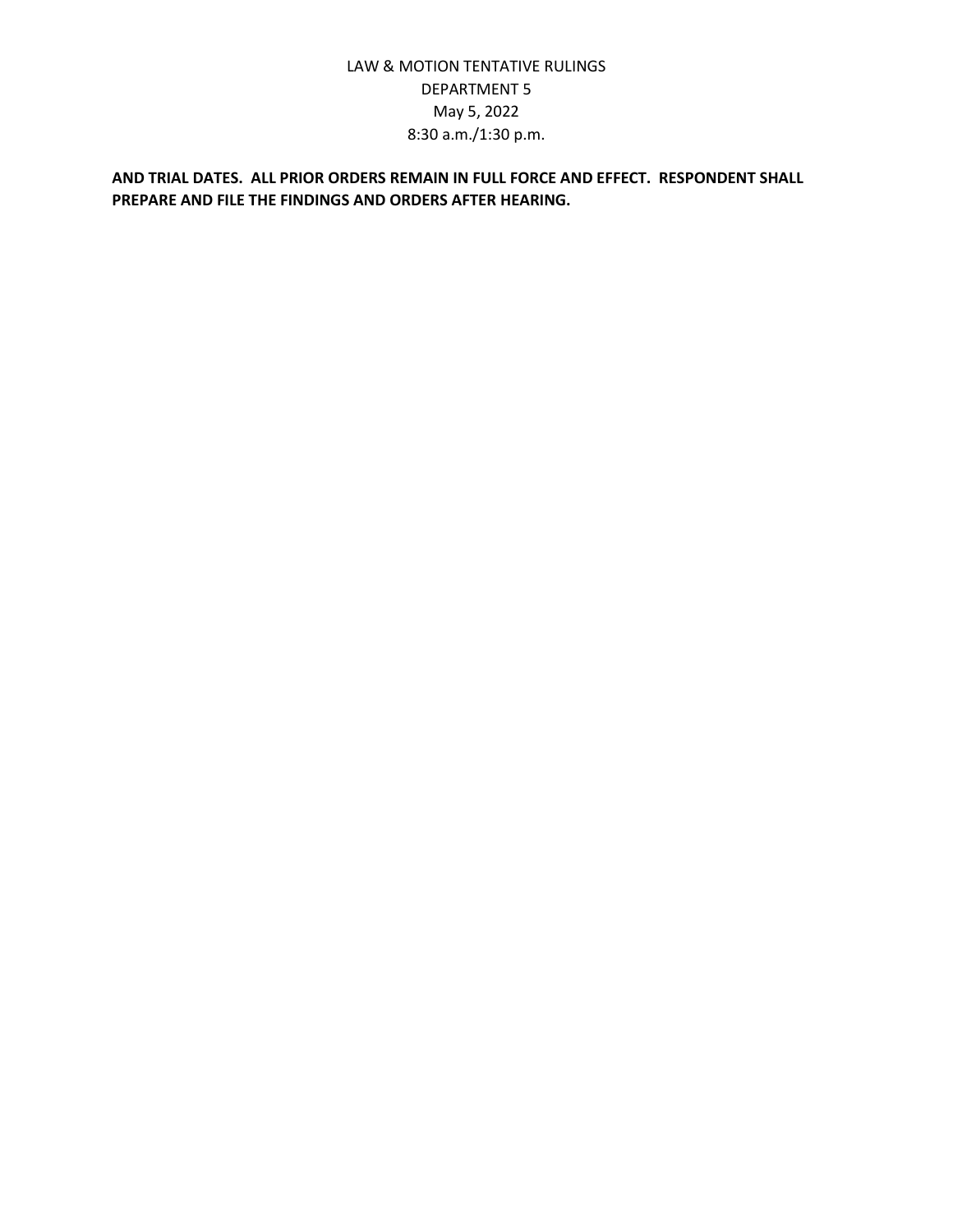## **AND TRIAL DATES. ALL PRIOR ORDERS REMAIN IN FULL FORCE AND EFFECT. RESPONDENT SHALL PREPARE AND FILE THE FINDINGS AND ORDERS AFTER HEARING.**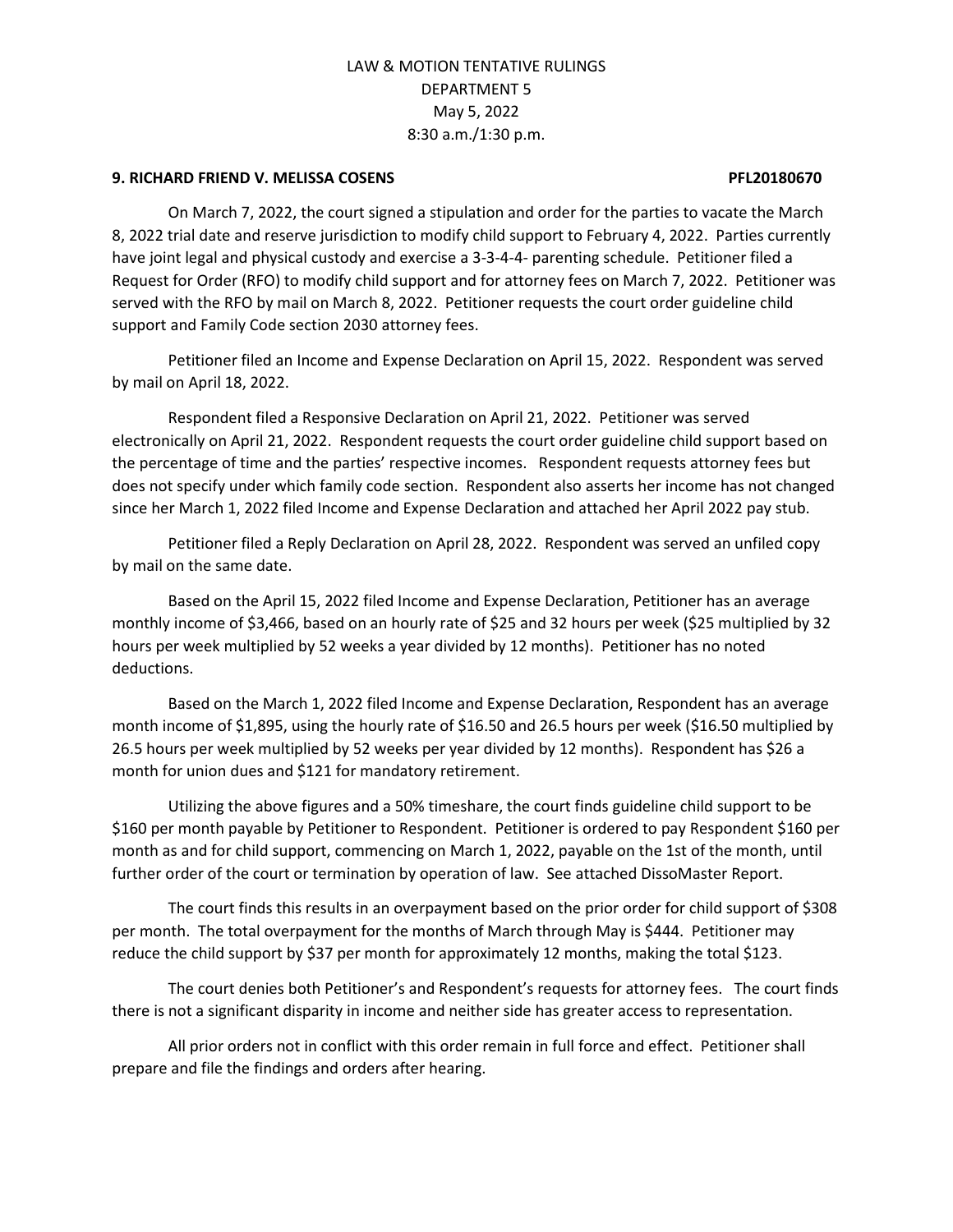#### **9. RICHARD FRIEND V. MELISSA COSENS PFL20180670**

On March 7, 2022, the court signed a stipulation and order for the parties to vacate the March 8, 2022 trial date and reserve jurisdiction to modify child support to February 4, 2022. Parties currently have joint legal and physical custody and exercise a 3-3-4-4- parenting schedule. Petitioner filed a Request for Order (RFO) to modify child support and for attorney fees on March 7, 2022. Petitioner was served with the RFO by mail on March 8, 2022. Petitioner requests the court order guideline child support and Family Code section 2030 attorney fees.

Petitioner filed an Income and Expense Declaration on April 15, 2022. Respondent was served by mail on April 18, 2022.

Respondent filed a Responsive Declaration on April 21, 2022. Petitioner was served electronically on April 21, 2022. Respondent requests the court order guideline child support based on the percentage of time and the parties' respective incomes. Respondent requests attorney fees but does not specify under which family code section. Respondent also asserts her income has not changed since her March 1, 2022 filed Income and Expense Declaration and attached her April 2022 pay stub.

Petitioner filed a Reply Declaration on April 28, 2022. Respondent was served an unfiled copy by mail on the same date.

Based on the April 15, 2022 filed Income and Expense Declaration, Petitioner has an average monthly income of \$3,466, based on an hourly rate of \$25 and 32 hours per week (\$25 multiplied by 32 hours per week multiplied by 52 weeks a year divided by 12 months). Petitioner has no noted deductions.

Based on the March 1, 2022 filed Income and Expense Declaration, Respondent has an average month income of \$1,895, using the hourly rate of \$16.50 and 26.5 hours per week (\$16.50 multiplied by 26.5 hours per week multiplied by 52 weeks per year divided by 12 months). Respondent has \$26 a month for union dues and \$121 for mandatory retirement.

Utilizing the above figures and a 50% timeshare, the court finds guideline child support to be \$160 per month payable by Petitioner to Respondent. Petitioner is ordered to pay Respondent \$160 per month as and for child support, commencing on March 1, 2022, payable on the 1st of the month, until further order of the court or termination by operation of law. See attached DissoMaster Report.

The court finds this results in an overpayment based on the prior order for child support of \$308 per month. The total overpayment for the months of March through May is \$444. Petitioner may reduce the child support by \$37 per month for approximately 12 months, making the total \$123.

The court denies both Petitioner's and Respondent's requests for attorney fees. The court finds there is not a significant disparity in income and neither side has greater access to representation.

All prior orders not in conflict with this order remain in full force and effect. Petitioner shall prepare and file the findings and orders after hearing.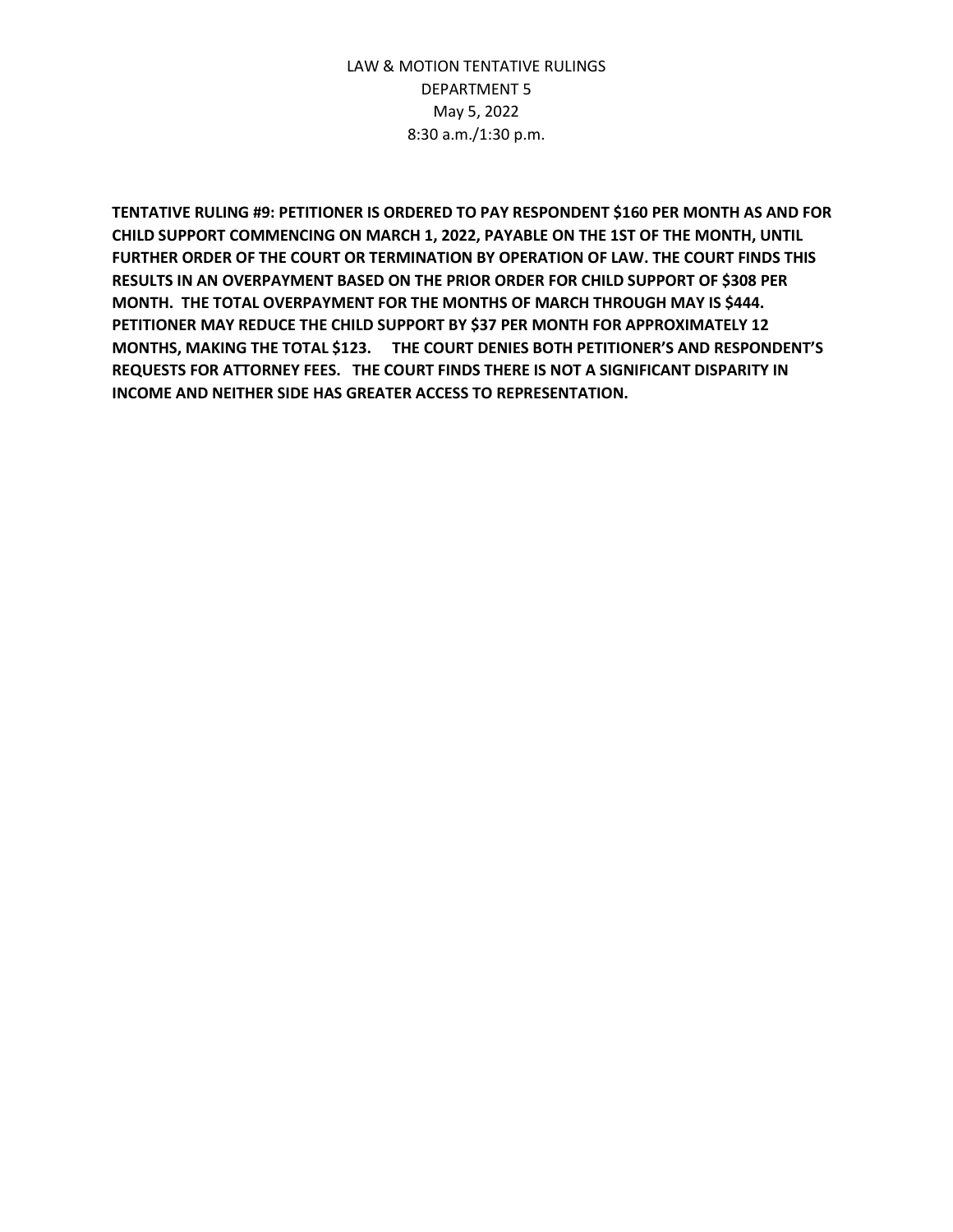**TENTATIVE RULING #9: PETITIONER IS ORDERED TO PAY RESPONDENT \$160 PER MONTH AS AND FOR CHILD SUPPORT COMMENCING ON MARCH 1, 2022, PAYABLE ON THE 1ST OF THE MONTH, UNTIL FURTHER ORDER OF THE COURT OR TERMINATION BY OPERATION OF LAW. THE COURT FINDS THIS RESULTS IN AN OVERPAYMENT BASED ON THE PRIOR ORDER FOR CHILD SUPPORT OF \$308 PER MONTH. THE TOTAL OVERPAYMENT FOR THE MONTHS OF MARCH THROUGH MAY IS \$444. PETITIONER MAY REDUCE THE CHILD SUPPORT BY \$37 PER MONTH FOR APPROXIMATELY 12 MONTHS, MAKING THE TOTAL \$123. THE COURT DENIES BOTH PETITIONER'S AND RESPONDENT'S REQUESTS FOR ATTORNEY FEES. THE COURT FINDS THERE IS NOT A SIGNIFICANT DISPARITY IN INCOME AND NEITHER SIDE HAS GREATER ACCESS TO REPRESENTATION.**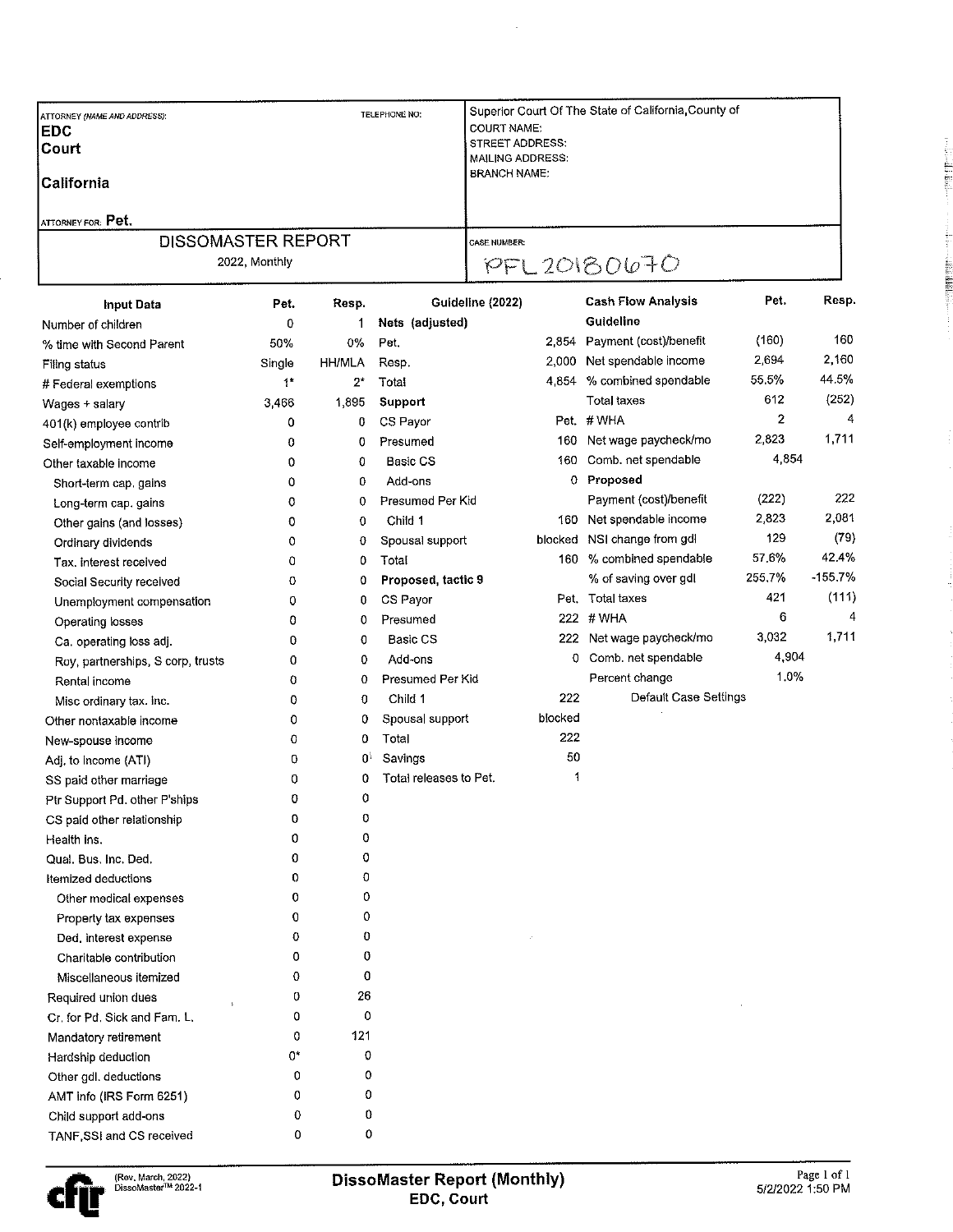| ATTORNEY (NAME AND ADDRESS):<br><b>EDC</b><br>Court<br>California | TELEPHONE NO. |              | Superior Court Of The State of California, County of<br><b>COURT NAME:</b><br>STREET ADDRESS:<br><b>MAILING ADDRESS:</b><br><b>BRANCH NAME:</b> |                     |         |                              |        |           |
|-------------------------------------------------------------------|---------------|--------------|-------------------------------------------------------------------------------------------------------------------------------------------------|---------------------|---------|------------------------------|--------|-----------|
| ATTORNEY FOR: Pet.                                                |               |              |                                                                                                                                                 |                     |         |                              |        |           |
| DISSOMASTER REPORT                                                |               |              |                                                                                                                                                 | <b>CASE NUMBER:</b> |         |                              |        |           |
| 2022, Monthly                                                     |               |              |                                                                                                                                                 | PFL 20180670        |         |                              |        |           |
| Input Data                                                        | Pet.          | Resp.        |                                                                                                                                                 | Guideline (2022)    |         | <b>Cash Flow Analysis</b>    | Pet.   | Resp.     |
| Number of children                                                | 0             | 1            | Nets (adjusted)                                                                                                                                 |                     |         | Guideline                    |        |           |
| % time with Second Parent                                         | 50%           | 0%           | Pet.                                                                                                                                            |                     |         | 2,854 Payment (cost)/benefit | (160)  | 160       |
| Filing status                                                     | Single        | HH/MLA       | Resp.                                                                                                                                           |                     |         | 2,000 Net spendable income   | 2,694  | 2,160     |
| # Federal exemptions                                              | $\ddagger^*$  | $2^*$        | Total                                                                                                                                           |                     |         | 4,854 % combined spendable   | 55.5%  | 44.5%     |
| Wages + salary                                                    | 3,466         | 1,895        | Support                                                                                                                                         |                     |         | Total taxes                  | 612    | (252)     |
| 401(k) employee contrib                                           | 0             | 0            | CS Payor                                                                                                                                        |                     |         | Pet. #WHA                    | 2      | 4         |
| Self-employment income                                            | 0             | 0            | Presumed                                                                                                                                        |                     | 160.    | Net wage paycheck/mo         | 2,823  | 1,711     |
| Other taxable income                                              | 0             | 0            | Basic CS                                                                                                                                        |                     | 160     | Comb. net spendable          | 4,854  |           |
| Short-term cap, gains                                             | 0             | 0            | Add-ons                                                                                                                                         |                     | 0       | Proposed                     |        |           |
| Long-term cap. gains                                              | 0             | 0            | Presumed Per Kid                                                                                                                                |                     |         | Payment (cost)/benefit       | (222)  | 222       |
| Other gains (and losses)                                          | 0             | 0            | Child 1                                                                                                                                         |                     | 160     | Net spendable income         | 2,823  | 2,081     |
| Ordinary dividends                                                | 0             | 0            | Spousal support                                                                                                                                 |                     | blocked | NSI change from gdl          | 129    | (79)      |
| Tax, interest received                                            | 0             | $\mathbf 0$  | Total                                                                                                                                           |                     | 160.    | % combined spendable         | 57.6%  | 42.4%     |
| Social Security received                                          | 0             | 0            | Proposed, tactic 9                                                                                                                              |                     |         | % of saving over gdl         | 255.7% | $-155.7%$ |
| Unemployment compensation                                         | 0             | 0            | CS Payor                                                                                                                                        |                     |         | Pet. Total taxes             | 421    | (111)     |
| Operating losses                                                  | 0             | 0            | Presumed                                                                                                                                        |                     |         | 222 # WHA                    | 6      | 4         |
| Ca. operating loss adj.                                           | 0             | 0            | <b>Basic CS</b>                                                                                                                                 |                     |         | 222 Net wage paycheck/mo     | 3,032  | 1,711     |
| Roy, partnerships, S corp, trusts                                 | 0             | 0            | Add-ons                                                                                                                                         |                     | 0.      | Comb. net spendable          | 4,904  |           |
| Rental income                                                     | 0             | 0            | Presumed Per Kid                                                                                                                                |                     |         | Percent change               | 1.0%   |           |
| Misc ordinary tax. inc.                                           | 0             | 0            | Child 1                                                                                                                                         |                     | 222     | Default Case Settings        |        |           |
| Other nontaxable income                                           | 0             | 0            | Spousal support                                                                                                                                 |                     | blocked |                              |        |           |
| New-spouse income                                                 | 0             | 0            | Total                                                                                                                                           |                     | 222     |                              |        |           |
| Adj. to Income (ATI)                                              | 0             | $\mathbf{0}$ | Savings                                                                                                                                         |                     | 50      |                              |        |           |
| SS paid other marriage                                            | 0             | 0            | Total releases to Pet.                                                                                                                          |                     | 1       |                              |        |           |
| Ptr Support Pd. other P'ships                                     | 0             | 0            |                                                                                                                                                 |                     |         |                              |        |           |
| CS paid other relationship                                        | 0             | 0            |                                                                                                                                                 |                     |         |                              |        |           |
| Health ins.                                                       | 0             | 0            |                                                                                                                                                 |                     |         |                              |        |           |
| Qual. Bus. Inc. Ded.                                              | 0             | 0            |                                                                                                                                                 |                     |         |                              |        |           |
| Itemized deductions                                               | 0             | 0            |                                                                                                                                                 |                     |         |                              |        |           |
| Other medical expenses                                            | 0             | 0            |                                                                                                                                                 |                     |         |                              |        |           |
| Property tax expenses                                             | 0             | 0            |                                                                                                                                                 |                     |         |                              |        |           |
| Ded. interest expense                                             | 0             | $\mathbf 0$  |                                                                                                                                                 |                     |         |                              |        |           |
| Charitable contribution                                           | 0             | 0            |                                                                                                                                                 |                     |         |                              |        |           |
| Miscellaneous itemized                                            | 0             | 0            |                                                                                                                                                 |                     |         |                              |        |           |
| Required union dues                                               | 0             | 26           |                                                                                                                                                 |                     |         |                              |        |           |
| Cr. for Pd. Sick and Fam. L.                                      | 0             | 0            |                                                                                                                                                 |                     |         |                              |        |           |
| Mandatory retirement                                              | 0             | 121          |                                                                                                                                                 |                     |         |                              |        |           |
| Hardship deduction                                                | 0*            | 0            |                                                                                                                                                 |                     |         |                              |        |           |
| Other gdl. deductions                                             | 0             | 0            |                                                                                                                                                 |                     |         |                              |        |           |
| AMT info (IRS Form 6251)                                          | 0             | 0            |                                                                                                                                                 |                     |         |                              |        |           |
| Child support add-ons                                             | 0             | 0            |                                                                                                                                                 |                     |         |                              |        |           |
| TANF, SSI and CS received                                         | 0             | 0            |                                                                                                                                                 |                     |         |                              |        |           |

 $\frac{1}{\sqrt{2}}$ 



"三十四年七月五月

**Alikkik**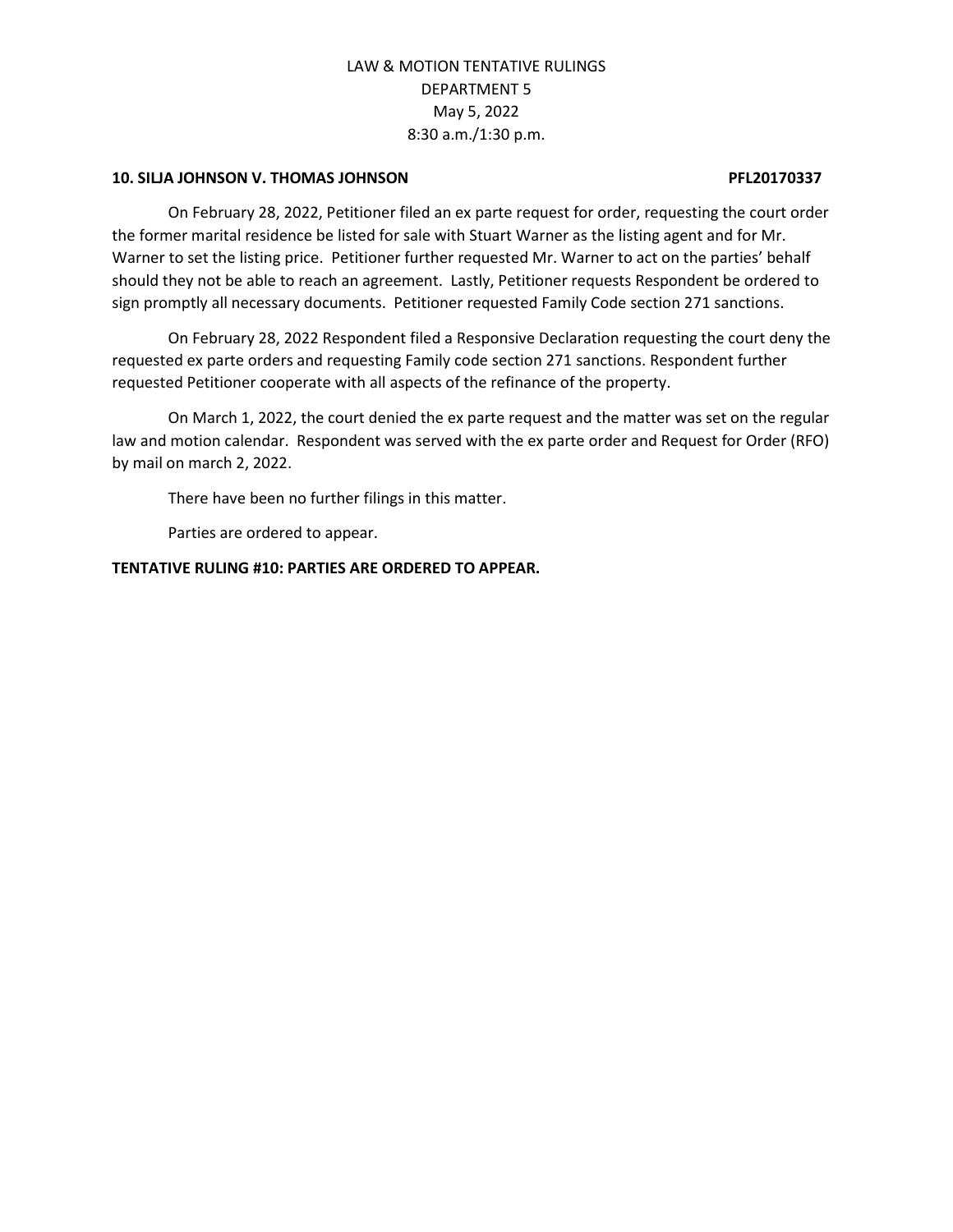#### **10. SILJA JOHNSON V. THOMAS JOHNSON PFL20170337**

On February 28, 2022, Petitioner filed an ex parte request for order, requesting the court order the former marital residence be listed for sale with Stuart Warner as the listing agent and for Mr. Warner to set the listing price. Petitioner further requested Mr. Warner to act on the parties' behalf should they not be able to reach an agreement. Lastly, Petitioner requests Respondent be ordered to sign promptly all necessary documents. Petitioner requested Family Code section 271 sanctions.

On February 28, 2022 Respondent filed a Responsive Declaration requesting the court deny the requested ex parte orders and requesting Family code section 271 sanctions. Respondent further requested Petitioner cooperate with all aspects of the refinance of the property.

On March 1, 2022, the court denied the ex parte request and the matter was set on the regular law and motion calendar. Respondent was served with the ex parte order and Request for Order (RFO) by mail on march 2, 2022.

There have been no further filings in this matter.

Parties are ordered to appear.

**TENTATIVE RULING #10: PARTIES ARE ORDERED TO APPEAR.**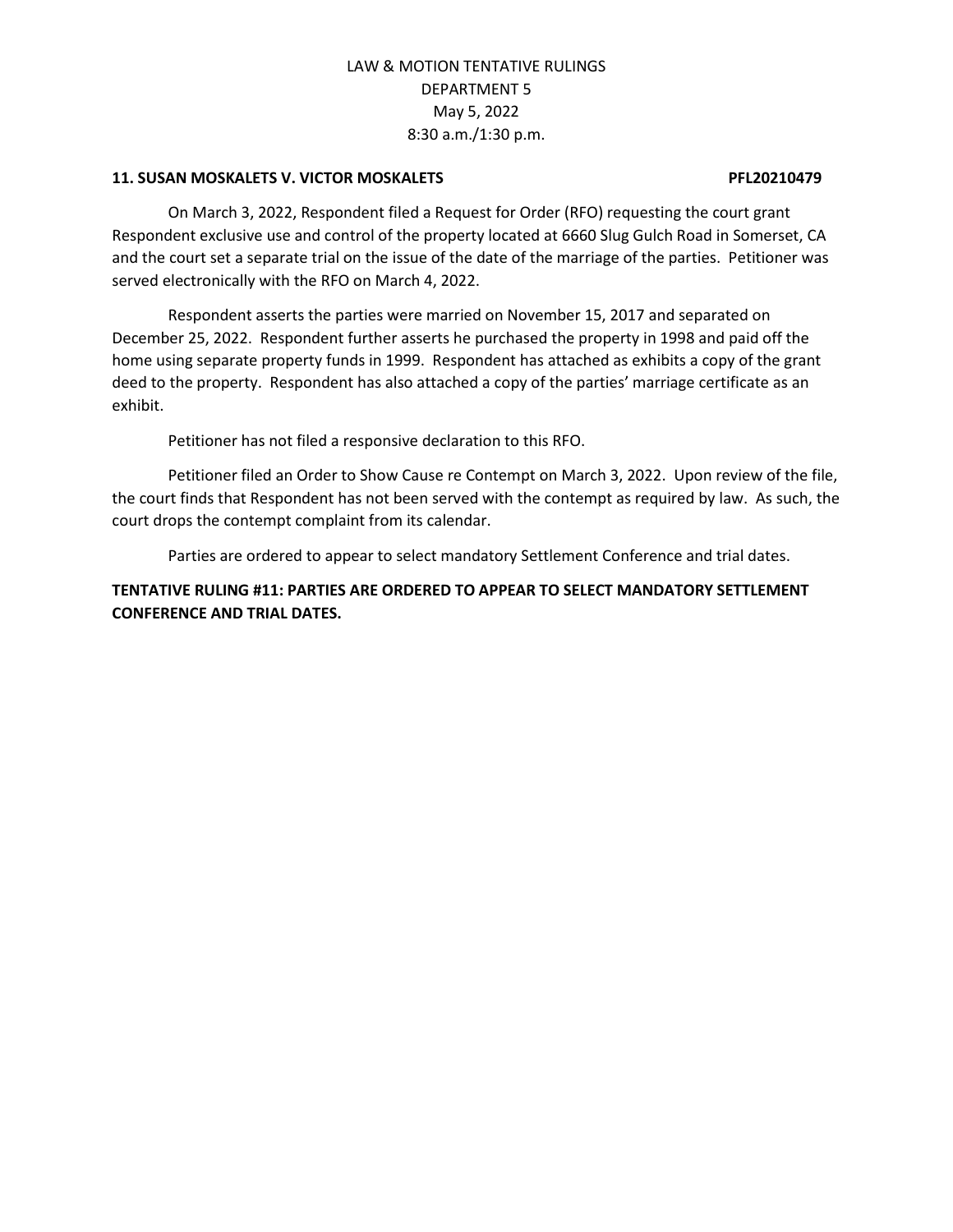#### **11. SUSAN MOSKALETS V. VICTOR MOSKALETS PFL20210479**

On March 3, 2022, Respondent filed a Request for Order (RFO) requesting the court grant Respondent exclusive use and control of the property located at 6660 Slug Gulch Road in Somerset, CA and the court set a separate trial on the issue of the date of the marriage of the parties. Petitioner was served electronically with the RFO on March 4, 2022.

Respondent asserts the parties were married on November 15, 2017 and separated on December 25, 2022. Respondent further asserts he purchased the property in 1998 and paid off the home using separate property funds in 1999. Respondent has attached as exhibits a copy of the grant deed to the property. Respondent has also attached a copy of the parties' marriage certificate as an exhibit.

Petitioner has not filed a responsive declaration to this RFO.

Petitioner filed an Order to Show Cause re Contempt on March 3, 2022. Upon review of the file, the court finds that Respondent has not been served with the contempt as required by law. As such, the court drops the contempt complaint from its calendar.

Parties are ordered to appear to select mandatory Settlement Conference and trial dates.

### **TENTATIVE RULING #11: PARTIES ARE ORDERED TO APPEAR TO SELECT MANDATORY SETTLEMENT CONFERENCE AND TRIAL DATES.**